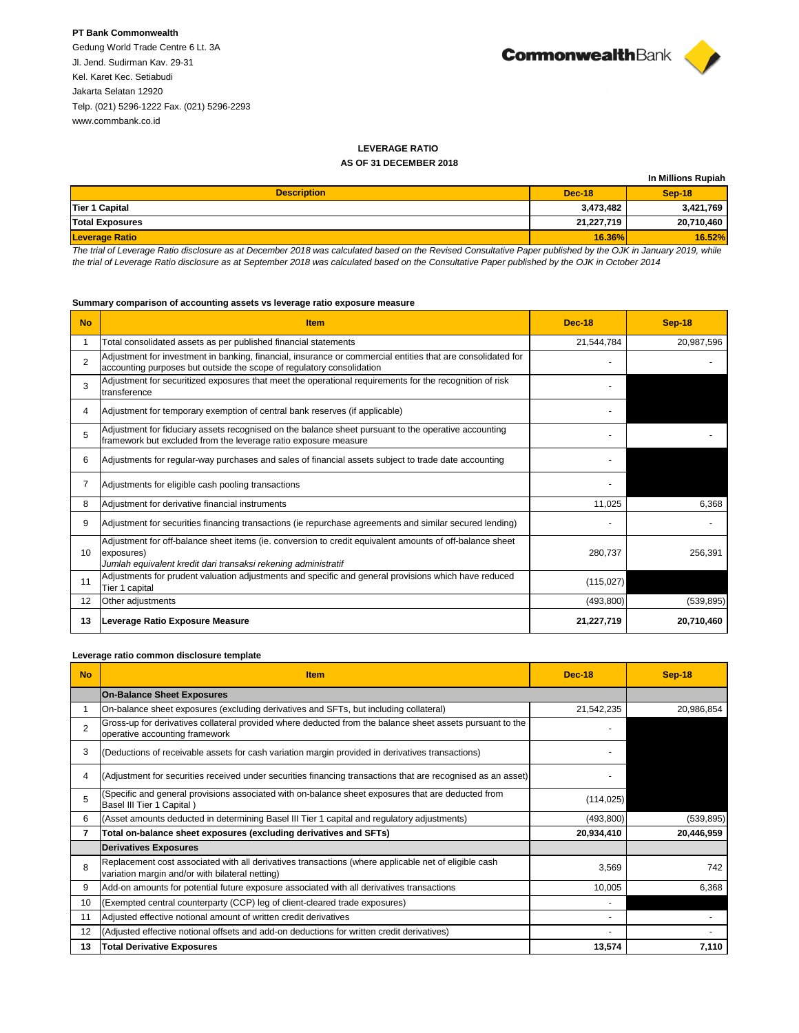# **PT Bank Commonwealth**

Gedung World Trade Centre 6 Lt. 3A Jl. Jend. Sudirman Kav. 29-31 Kel. Karet Kec. Setiabudi Jakarta Selatan 12920 Telp. (021) 5296-1222 Fax. (021) 5296-2293 [www.commbank.co.id](http://www.commbank.co.id/)



# **LEVERAGE RATIO**

## **AS OF 31 DECEMBER 2018**

|                        |               | In Millions Rupiah |
|------------------------|---------------|--------------------|
| <b>Description</b>     | <b>Dec-18</b> | <b>Sep-18</b>      |
| Tier 1 Capital         | 3,473,482     | 3,421,769          |
| <b>Total Exposures</b> | 21.227.719    | 20,710,460         |
| <b>Leverage Ratio</b>  | $16.36\%$     | 16.52%             |

*The trial of Leverage Ratio disclosure as at December 2018 was calculated based on the Revised Consultative Paper published by the OJK in January 2019, while the trial of Leverage Ratio disclosure as at September 2018 was calculated based on the Consultative Paper published by the OJK in October 2014*

#### **Summary comparison of accounting assets vs leverage ratio exposure measure**

| <b>No</b>      | <b>Item</b>                                                                                                                                                                              | <b>Dec-18</b> | <b>Sep-18</b> |
|----------------|------------------------------------------------------------------------------------------------------------------------------------------------------------------------------------------|---------------|---------------|
|                | Total consolidated assets as per published financial statements                                                                                                                          | 21,544,784    | 20,987,596    |
| $\overline{2}$ | Adjustment for investment in banking, financial, insurance or commercial entities that are consolidated for<br>accounting purposes but outside the scope of regulatory consolidation     |               |               |
| 3              | Adjustment for securitized exposures that meet the operational requirements for the recognition of risk<br>transference                                                                  |               |               |
| 4              | Adjustment for temporary exemption of central bank reserves (if applicable)                                                                                                              |               |               |
| 5              | Adjustment for fiduciary assets recognised on the balance sheet pursuant to the operative accounting<br>framework but excluded from the leverage ratio exposure measure                  |               |               |
| 6              | Adjustments for regular-way purchases and sales of financial assets subject to trade date accounting                                                                                     |               |               |
|                | Adjustments for eligible cash pooling transactions                                                                                                                                       |               |               |
| 8              | Adjustment for derivative financial instruments                                                                                                                                          | 11,025        | 6.368         |
| 9              | Adjustment for securities financing transactions (ie repurchase agreements and similar secured lending)                                                                                  |               |               |
| 10             | Adjustment for off-balance sheet items (ie. conversion to credit equivalent amounts of off-balance sheet<br>exposures)<br>Jumlah equivalent kredit dari transaksi rekening administratif | 280,737       | 256,391       |
| 11             | Adjustments for prudent valuation adjustments and specific and general provisions which have reduced<br>Tier 1 capital                                                                   | (115, 027)    |               |
| 12             | Other adjustments                                                                                                                                                                        | (493, 800)    | (539, 895)    |
| 13             | Leverage Ratio Exposure Measure                                                                                                                                                          | 21,227,719    | 20.710.460    |

### **Leverage ratio common disclosure template**

| <b>No</b>      | <b>Item</b>                                                                                                                                             | <b>Dec-18</b> | Sep-18     |
|----------------|---------------------------------------------------------------------------------------------------------------------------------------------------------|---------------|------------|
|                | <b>On-Balance Sheet Exposures</b>                                                                                                                       |               |            |
|                | On-balance sheet exposures (excluding derivatives and SFTs, but including collateral)                                                                   | 21,542,235    | 20,986,854 |
| $\mathfrak{p}$ | Gross-up for derivatives collateral provided where deducted from the balance sheet assets pursuant to the<br>operative accounting framework             |               |            |
| 3              | (Deductions of receivable assets for cash variation margin provided in derivatives transactions)                                                        |               |            |
| 4              | (Adjustment for securities received under securities financing transactions that are recognised as an asset)                                            |               |            |
|                | (Specific and general provisions associated with on-balance sheet exposures that are deducted from<br>Basel III Tier 1 Capital)                         | (114, 025)    |            |
| 6              | (Asset amounts deducted in determining Basel III Tier 1 capital and regulatory adjustments)                                                             | (493, 800)    | (539, 895) |
| 7              | Total on-balance sheet exposures (excluding derivatives and SFTs)                                                                                       | 20,934,410    | 20,446,959 |
|                | <b>Derivatives Exposures</b>                                                                                                                            |               |            |
| 8              | Replacement cost associated with all derivatives transactions (where applicable net of eligible cash<br>variation margin and/or with bilateral netting) | 3,569         | 742        |
| 9              | Add-on amounts for potential future exposure associated with all derivatives transactions                                                               | 10,005        | 6,368      |
| 10             | (Exempted central counterparty (CCP) leg of client-cleared trade exposures)                                                                             |               |            |
| 11             | Adjusted effective notional amount of written credit derivatives                                                                                        |               |            |
| 12             | (Adjusted effective notional offsets and add-on deductions for written credit derivatives)                                                              |               |            |
| 13             | <b>Total Derivative Exposures</b>                                                                                                                       | 13,574        | 7,110      |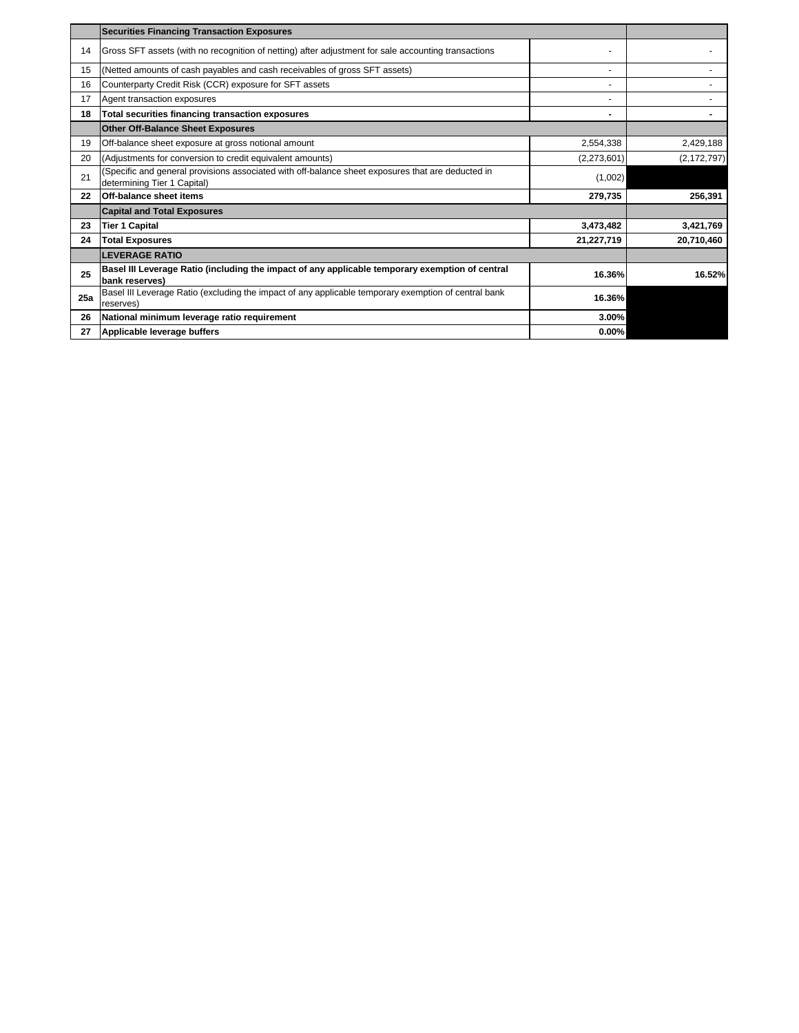|     | <b>Securities Financing Transaction Exposures</b>                                                                                |             |               |
|-----|----------------------------------------------------------------------------------------------------------------------------------|-------------|---------------|
| 14  | Gross SFT assets (with no recognition of netting) after adjustment for sale accounting transactions                              |             |               |
| 15  | (Netted amounts of cash payables and cash receivables of gross SFT assets)                                                       |             |               |
| 16  | Counterparty Credit Risk (CCR) exposure for SFT assets                                                                           |             |               |
| 17  | Agent transaction exposures                                                                                                      |             |               |
| 18  | Total securities financing transaction exposures                                                                                 | ٠           |               |
|     | <b>Other Off-Balance Sheet Exposures</b>                                                                                         |             |               |
| 19  | Off-balance sheet exposure at gross notional amount                                                                              | 2,554,338   | 2,429,188     |
| 20  | (Adjustments for conversion to credit equivalent amounts)                                                                        | (2,273,601) | (2, 172, 797) |
| 21  | (Specific and general provisions associated with off-balance sheet exposures that are deducted in<br>determining Tier 1 Capital) | (1,002)     |               |
| 22  | Off-balance sheet items                                                                                                          | 279,735     | 256,391       |
|     | <b>Capital and Total Exposures</b>                                                                                               |             |               |
| 23  | <b>Tier 1 Capital</b>                                                                                                            | 3,473,482   | 3,421,769     |
| 24  | <b>Total Exposures</b>                                                                                                           | 21,227,719  | 20,710,460    |
|     | <b>LEVERAGE RATIO</b>                                                                                                            |             |               |
| 25  | Basel III Leverage Ratio (including the impact of any applicable temporary exemption of central<br>bank reserves)                | 16.36%      | 16.52%        |
| 25a | Basel III Leverage Ratio (excluding the impact of any applicable temporary exemption of central bank<br>reserves)                | 16.36%      |               |
| 26  | National minimum leverage ratio requirement                                                                                      | 3.00%       |               |
| 27  | Applicable leverage buffers                                                                                                      | $0.00\%$    |               |